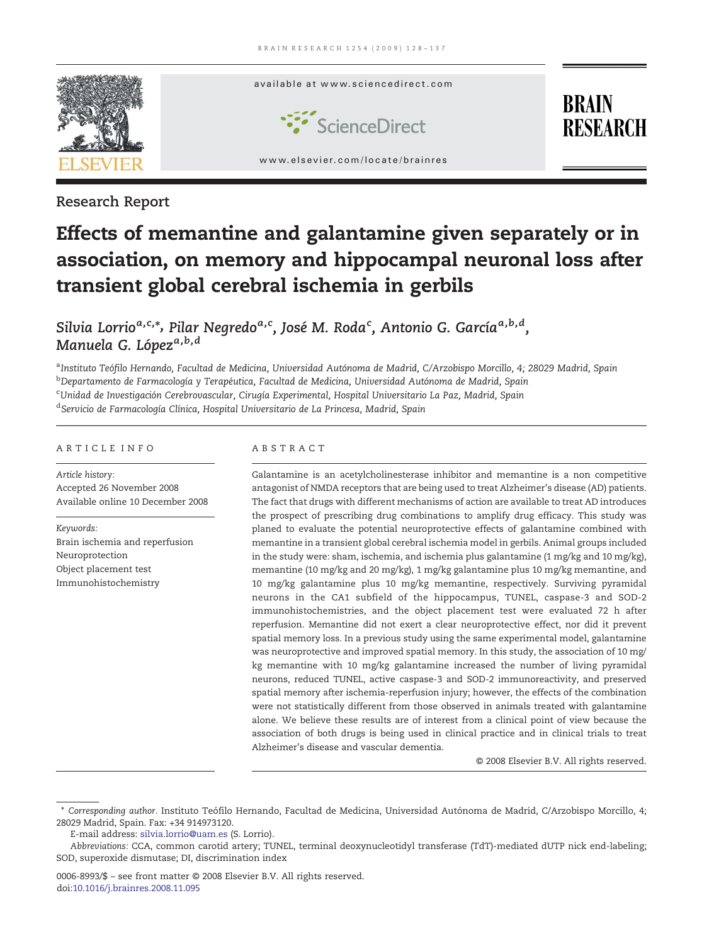

Research Report

# Effects of memantine and galantamine given separately or in association, on memory and hippocampal neuronal loss after transient global cerebral ischemia in gerbils

Silvia Lorrio<sup>a,c,</sup>\*, Pilar Negredo<sup>a,c</sup>, José M. Roda<sup>c</sup>, Antonio G. García<sup>a,b,d</sup>, Manuela G. López<sup>a,b,d</sup>

<sup>a</sup>Instituto Teófilo Hernando, Facultad de Medicina, Universidad Autónoma de Madrid, C/Arzobispo Morcillo, 4; 28029 Madrid, Spain <sup>b</sup>Departamento de Farmacología y Terapéutica, Facultad de Medicina, Universidad Autónoma de Madrid, Spain <sup>c</sup>Unidad de Investigación Cerebrovascular, Cirugía Experimental, Hospital Universitario La Paz, Madrid, Spain <sup>d</sup> Servicio de Farmacología Clínica, Hospital Universitario de La Princesa, Madrid, Spain

# ARTICLE INFO ABSTRACT

Article history: Accepted 26 November 2008 Available online 10 December 2008

Keywords: Brain ischemia and reperfusion Neuroprotection Object placement test Immunohistochemistry

Galantamine is an acetylcholinesterase inhibitor and memantine is a non competitive antagonist of NMDA receptors that are being used to treat Alzheimer's disease (AD) patients. The fact that drugs with different mechanisms of action are available to treat AD introduces the prospect of prescribing drug combinations to amplify drug efficacy. This study was planed to evaluate the potential neuroprotective effects of galantamine combined with memantine in a transient global cerebral ischemia model in gerbils. Animal groups included in the study were: sham, ischemia, and ischemia plus galantamine (1 mg/kg and 10 mg/kg), memantine (10 mg/kg and 20 mg/kg), 1 mg/kg galantamine plus 10 mg/kg memantine, and 10 mg/kg galantamine plus 10 mg/kg memantine, respectively. Surviving pyramidal neurons in the CA1 subfield of the hippocampus, TUNEL, caspase-3 and SOD-2 immunohistochemistries, and the object placement test were evaluated 72 h after reperfusion. Memantine did not exert a clear neuroprotective effect, nor did it prevent spatial memory loss. In a previous study using the same experimental model, galantamine was neuroprotective and improved spatial memory. In this study, the association of 10 mg/ kg memantine with 10 mg/kg galantamine increased the number of living pyramidal neurons, reduced TUNEL, active caspase-3 and SOD-2 immunoreactivity, and preserved spatial memory after ischemia-reperfusion injury; however, the effects of the combination were not statistically different from those observed in animals treated with galantamine alone. We believe these results are of interest from a clinical point of view because the association of both drugs is being used in clinical practice and in clinical trials to treat Alzheimer's disease and vascular dementia.

© 2008 Elsevier B.V. All rights reserved.

<sup>⁎</sup> Corresponding author. Instituto Teófilo Hernando, Facultad de Medicina, Universidad Autónoma de Madrid, C/Arzobispo Morcillo, 4; 28029 Madrid, Spain. Fax: +34 914973120.

E-mail address: [silvia.lorrio@uam.es](mailto:silvia.lorrio@uam.es) (S. Lorrio).

Abbreviations: CCA, common carotid artery; TUNEL, terminal deoxynucleotidyl transferase (TdT)-mediated dUTP nick end-labeling; SOD, superoxide dismutase; DI, discrimination index

<sup>0006-8993/\$</sup> – see front matter © 2008 Elsevier B.V. All rights reserved. doi[:10.1016/j.brainres.2008.11.095](http://dx.doi.org/10.1016/j.brainres.2008.11.095)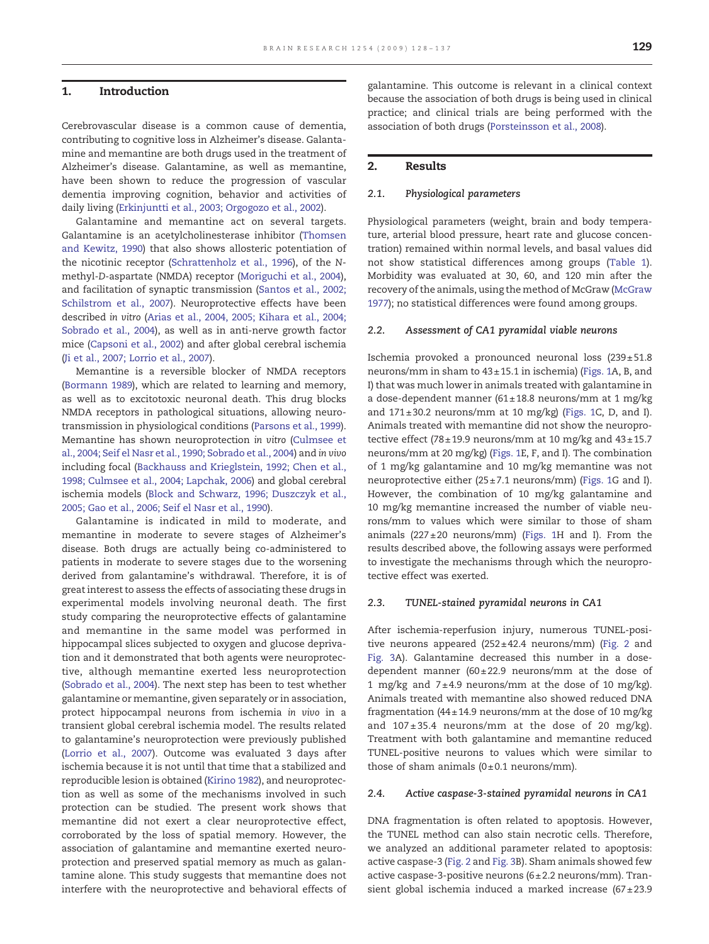### 1. Introduction

Cerebrovascular disease is a common cause of dementia, contributing to cognitive loss in Alzheimer's disease. Galantamine and memantine are both drugs used in the treatment of Alzheimer's disease. Galantamine, as well as memantine, have been shown to reduce the progression of vascular dementia improving cognition, behavior and activities of daily living ([Erkinjuntti et al., 2003; Orgogozo et al., 2002\)](#page-8-0).

Galantamine and memantine act on several targets. Galantamine is an acetylcholinesterase inhibitor [\(Thomsen](#page-9-0) [and Kewitz, 1990\)](#page-9-0) that also shows allosteric potentiation of the nicotinic receptor [\(Schrattenholz et al., 1996\)](#page-8-0), of the Nmethyl-D-aspartate (NMDA) receptor [\(Moriguchi et al., 2004](#page-8-0)), and facilitation of synaptic transmission ([Santos et al., 2002;](#page-8-0) [Schilstrom et al., 2007](#page-8-0)). Neuroprotective effects have been described in vitro ([Arias et al., 2004, 2005; Kihara et al., 2004;](#page-7-0) [Sobrado et al., 2004](#page-7-0)), as well as in anti-nerve growth factor mice [\(Capsoni et al., 2002](#page-7-0)) and after global cerebral ischemia [\(Ji et al., 2007; Lorrio et al., 2007](#page-8-0)).

Memantine is a reversible blocker of NMDA receptors [\(Bormann 1989](#page-7-0)), which are related to learning and memory, as well as to excitotoxic neuronal death. This drug blocks NMDA receptors in pathological situations, allowing neurotransmission in physiological conditions ([Parsons et al., 1999](#page-8-0)). Memantine has shown neuroprotection in vitro [\(Culmsee et](#page-8-0) [al., 2004; Seif el Nasr et al., 1990; Sobrado et al., 2004](#page-8-0)) and in vivo including focal [\(Backhauss and Krieglstein, 1992; Chen et al.,](#page-7-0) [1998; Culmsee et al., 2004; Lapchak, 2006](#page-7-0)) and global cerebral ischemia models ([Block and Schwarz, 1996; Duszczyk et al.,](#page-7-0) [2005; Gao et al., 2006; Seif el Nasr et al., 1990\)](#page-7-0).

Galantamine is indicated in mild to moderate, and memantine in moderate to severe stages of Alzheimer's disease. Both drugs are actually being co-administered to patients in moderate to severe stages due to the worsening derived from galantamine's withdrawal. Therefore, it is of great interest to assess the effects of associating these drugs in experimental models involving neuronal death. The first study comparing the neuroprotective effects of galantamine and memantine in the same model was performed in hippocampal slices subjected to oxygen and glucose deprivation and it demonstrated that both agents were neuroprotective, although memantine exerted less neuroprotection [\(Sobrado et al., 2004\)](#page-8-0). The next step has been to test whether galantamine or memantine, given separately or in association, protect hippocampal neurons from ischemia in vivo in a transient global cerebral ischemia model. The results related to galantamine's neuroprotection were previously published [\(Lorrio et al., 2007](#page-8-0)). Outcome was evaluated 3 days after ischemia because it is not until that time that a stabilized and reproducible lesion is obtained [\(Kirino 1982](#page-8-0)), and neuroprotection as well as some of the mechanisms involved in such protection can be studied. The present work shows that memantine did not exert a clear neuroprotective effect, corroborated by the loss of spatial memory. However, the association of galantamine and memantine exerted neuroprotection and preserved spatial memory as much as galantamine alone. This study suggests that memantine does not interfere with the neuroprotective and behavioral effects of

galantamine. This outcome is relevant in a clinical context because the association of both drugs is being used in clinical practice; and clinical trials are being performed with the association of both drugs ([Porsteinsson et al., 2008](#page-8-0)).

# 2. Results

#### 2.1. Physiological parameters

Physiological parameters (weight, brain and body temperature, arterial blood pressure, heart rate and glucose concentration) remained within normal levels, and basal values did not show statistical differences among groups [\(Table 1](#page-2-0)). Morbidity was evaluated at 30, 60, and 120 min after the recovery of the animals, using the method of McGraw [\(McGraw](#page-8-0) [1977](#page-8-0)); no statistical differences were found among groups.

#### 2.2. Assessment of CA1 pyramidal viable neurons

Ischemia provoked a pronounced neuronal loss  $(239 \pm 51.8)$ neurons/mm in sham to 43± 15.1 in ischemia) [\(Figs. 1A](#page-3-0), B, and I) that was much lower in animals treated with galantamine in a dose-dependent manner  $(61 \pm 18.8 \text{ neurons/mm at 1 mg/kg})$ and  $171 \pm 30.2$  neurons/mm at 10 mg/kg) [\(Figs. 1](#page-3-0)C, D, and I). Animals treated with memantine did not show the neuroprotective effect (78 $\pm$ 19.9 neurons/mm at 10 mg/kg and 43 $\pm$ 15.7 neurons/mm at 20 mg/kg) ([Figs. 1E](#page-3-0), F, and I). The combination of 1 mg/kg galantamine and 10 mg/kg memantine was not neuroprotective either (25± 7.1 neurons/mm) ([Figs. 1](#page-3-0)G and I). However, the combination of 10 mg/kg galantamine and 10 mg/kg memantine increased the number of viable neurons/mm to values which were similar to those of sham animals  $(227 \pm 20$  neurons/mm) [\(Figs. 1H](#page-3-0) and I). From the results described above, the following assays were performed to investigate the mechanisms through which the neuroprotective effect was exerted.

#### 2.3. TUNEL-stained pyramidal neurons in CA1

After ischemia-reperfusion injury, numerous TUNEL-posi-tive neurons appeared (252±42.4 neurons/mm) ([Fig. 2](#page-4-0) and [Fig. 3A](#page-5-0)). Galantamine decreased this number in a dosedependent manner (60 $\pm$ 22.9 neurons/mm at the dose of 1 mg/kg and  $7 \pm 4.9$  neurons/mm at the dose of 10 mg/kg). Animals treated with memantine also showed reduced DNA fragmentation (44 $\pm$ 14.9 neurons/mm at the dose of 10 mg/kg and  $107 \pm 35.4$  neurons/mm at the dose of 20 mg/kg). Treatment with both galantamine and memantine reduced TUNEL-positive neurons to values which were similar to those of sham animals  $(0±0.1$  neurons/mm).

#### 2.4. Active caspase-3-stained pyramidal neurons in CA1

DNA fragmentation is often related to apoptosis. However, the TUNEL method can also stain necrotic cells. Therefore, we analyzed an additional parameter related to apoptosis: active caspase-3 [\(Fig. 2](#page-4-0) and [Fig. 3](#page-5-0)B). Sham animals showed few active caspase-3-positive neurons (6± 2.2 neurons/mm). Transient global ischemia induced a marked increase  $(67 \pm 23.9)$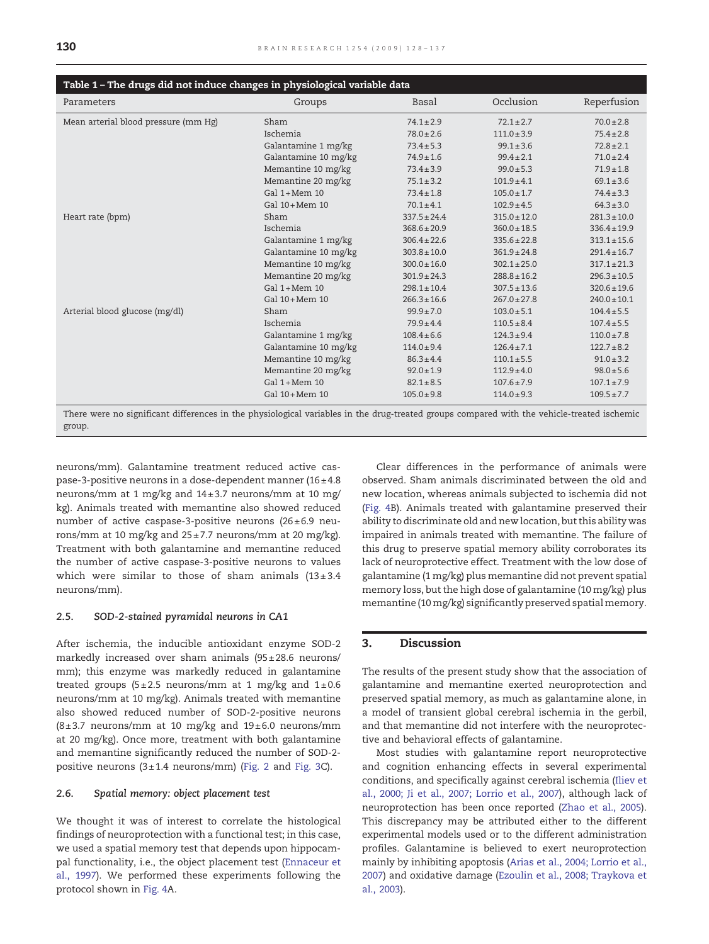<span id="page-2-0"></span>

| Table 1 - The drugs did not induce changes in physiological variable data                                                                  |                      |                  |                  |                  |
|--------------------------------------------------------------------------------------------------------------------------------------------|----------------------|------------------|------------------|------------------|
| Parameters                                                                                                                                 | Groups               | <b>Basal</b>     | Occlusion        | Reperfusion      |
| Mean arterial blood pressure (mm Hg)                                                                                                       | Sham                 | $74.1 \pm 2.9$   | $72.1 \pm 2.7$   | $70.0 \pm 2.8$   |
|                                                                                                                                            | Ischemia             | $78.0 \pm 2.6$   | $111.0 \pm 3.9$  | $75.4 \pm 2.8$   |
|                                                                                                                                            | Galantamine 1 mg/kg  | $73.4 \pm 5.3$   | $99.1 \pm 3.6$   | $72.8 \pm 2.1$   |
|                                                                                                                                            | Galantamine 10 mg/kg | $74.9 \pm 1.6$   | $99.4 \pm 2.1$   | $71.0 \pm 2.4$   |
|                                                                                                                                            | Memantine 10 mg/kg   | $73.4 \pm 3.9$   | $99.0 \pm 5.3$   | $71.9 \pm 1.8$   |
|                                                                                                                                            | Memantine 20 mg/kg   | $75.1 \pm 3.2$   | $101.9 \pm 4.1$  | $69.1 \pm 3.6$   |
|                                                                                                                                            | $Gal 1+Mem 10$       | $73.4 \pm 1.8$   | $105.0 \pm 1.7$  | $74.4 \pm 3.3$   |
|                                                                                                                                            | $Gal$ 10+Mem 10      | $70.1 \pm 4.1$   | $102.9 \pm 4.5$  | $64.3 \pm 3.0$   |
| Heart rate (bpm)                                                                                                                           | Sham                 | $337.5 \pm 24.4$ | $315.0 \pm 12.0$ | $281.3 \pm 10.0$ |
|                                                                                                                                            | Ischemia             | $368.6 \pm 20.9$ | $360.0 \pm 18.5$ | $336.4 \pm 19.9$ |
|                                                                                                                                            | Galantamine 1 mg/kg  | $306.4 \pm 22.6$ | $335.6 \pm 22.8$ | $313.1 \pm 15.6$ |
|                                                                                                                                            | Galantamine 10 mg/kg | $303.8 \pm 10.0$ | $361.9 \pm 24.8$ | $291.4 \pm 16.7$ |
|                                                                                                                                            | Memantine 10 mg/kg   | $300.0 \pm 16.0$ | $302.1 \pm 25.0$ | $317.1 \pm 21.3$ |
|                                                                                                                                            | Memantine 20 mg/kg   | $301.9 \pm 24.3$ | $288.8 \pm 16.2$ | $296.3 \pm 10.5$ |
|                                                                                                                                            | $Gal 1+Mem 10$       | $298.1 \pm 10.4$ | $307.5 \pm 13.6$ | $320.6 \pm 19.6$ |
|                                                                                                                                            | Gal $10+$ Mem 10     | $266.3 \pm 16.6$ | $267.0 \pm 27.8$ | $240.0 \pm 10.1$ |
| Arterial blood glucose (mg/dl)                                                                                                             | Sham                 | $99.9 \pm 7.0$   | $103.0 \pm 5.1$  | $104.4 \pm 5.5$  |
|                                                                                                                                            | Ischemia             | $79.9 \pm 4.4$   | $110.5 \pm 8.4$  | $107.4 \pm 5.5$  |
|                                                                                                                                            | Galantamine 1 mg/kg  | $108.4 \pm 6.6$  | $124.3 \pm 9.4$  | $110.0 \pm 7.8$  |
|                                                                                                                                            | Galantamine 10 mg/kg | $114.0 \pm 9.4$  | $126.4 \pm 7.1$  | $122.7 \pm 8.2$  |
|                                                                                                                                            | Memantine 10 mg/kg   | $86.3 \pm 4.4$   | $110.1 \pm 5.5$  | $91.0 \pm 3.2$   |
|                                                                                                                                            | Memantine 20 mg/kg   | $92.0 \pm 1.9$   | $112.9 \pm 4.0$  | $98.0 \pm 5.6$   |
|                                                                                                                                            | $Gal 1+Mem 10$       | $82.1 \pm 8.5$   | $107.6 \pm 7.9$  | $107.1 \pm 7.9$  |
| There were no significant differences in the physiological variables in the drug treated groups compared with the vehicle treated ischemic | Gal $10+$ Mem 10     | $105.0 \pm 9.8$  | $114.0 \pm 9.3$  | $109.5 \pm 7.7$  |

There is no significant differences in the and presence derived groups comp group.

neurons/mm). Galantamine treatment reduced active caspase-3-positive neurons in a dose-dependent manner (16± 4.8 neurons/mm at 1 mg/kg and 14± 3.7 neurons/mm at 10 mg/ kg). Animals treated with memantine also showed reduced number of active caspase-3-positive neurons (26 $\pm$ 6.9 neurons/mm at 10 mg/kg and  $25 \pm 7.7$  neurons/mm at 20 mg/kg). Treatment with both galantamine and memantine reduced the number of active caspase-3-positive neurons to values which were similar to those of sham animals  $(13 \pm 3.4)$ neurons/mm).

# 2.5. SOD-2-stained pyramidal neurons in CA1

After ischemia, the inducible antioxidant enzyme SOD-2 markedly increased over sham animals (95± 28.6 neurons/ mm); this enzyme was markedly reduced in galantamine treated groups (5±2.5 neurons/mm at 1 mg/kg and  $1\pm0.6$ neurons/mm at 10 mg/kg). Animals treated with memantine also showed reduced number of SOD-2-positive neurons  $(8±3.7$  neurons/mm at 10 mg/kg and  $19±6.0$  neurons/mm at 20 mg/kg). Once more, treatment with both galantamine and memantine significantly reduced the number of SOD-2 positive neurons  $(3 \pm 1.4 \text{ neurons/mm})$  ([Fig. 2](#page-4-0) and [Fig. 3](#page-5-0)C).

#### 2.6. Spatial memory: object placement test

We thought it was of interest to correlate the histological findings of neuroprotection with a functional test; in this case, we used a spatial memory test that depends upon hippocampal functionality, i.e., the object placement test [\(Ennaceur et](#page-8-0) [al., 1997\)](#page-8-0). We performed these experiments following the protocol shown in [Fig. 4A](#page-6-0).

Clear differences in the performance of animals were observed. Sham animals discriminated between the old and new location, whereas animals subjected to ischemia did not ([Fig. 4](#page-6-0)B). Animals treated with galantamine preserved their ability to discriminate old and new location, but this ability was impaired in animals treated with memantine. The failure of this drug to preserve spatial memory ability corroborates its lack of neuroprotective effect. Treatment with the low dose of galantamine (1 mg/kg) plus memantine did not prevent spatial memory loss, but the high dose of galantamine (10 mg/kg) plus memantine (10 mg/kg) significantly preserved spatial memory.

# 3. Discussion

The results of the present study show that the association of galantamine and memantine exerted neuroprotection and preserved spatial memory, as much as galantamine alone, in a model of transient global cerebral ischemia in the gerbil, and that memantine did not interfere with the neuroprotective and behavioral effects of galantamine.

Most studies with galantamine report neuroprotective and cognition enhancing effects in several experimental conditions, and specifically against cerebral ischemia [\(Iliev et](#page-8-0) [al., 2000; Ji et al., 2007; Lorrio et al., 2007\)](#page-8-0), although lack of neuroprotection has been once reported ([Zhao et al., 2005\)](#page-9-0). This discrepancy may be attributed either to the different experimental models used or to the different administration profiles. Galantamine is believed to exert neuroprotection mainly by inhibiting apoptosis [\(Arias et al., 2004; Lorrio et al.,](#page-7-0) [2007\)](#page-7-0) and oxidative damage [\(Ezoulin et al., 2008; Traykova et](#page-8-0) [al., 2003](#page-8-0)).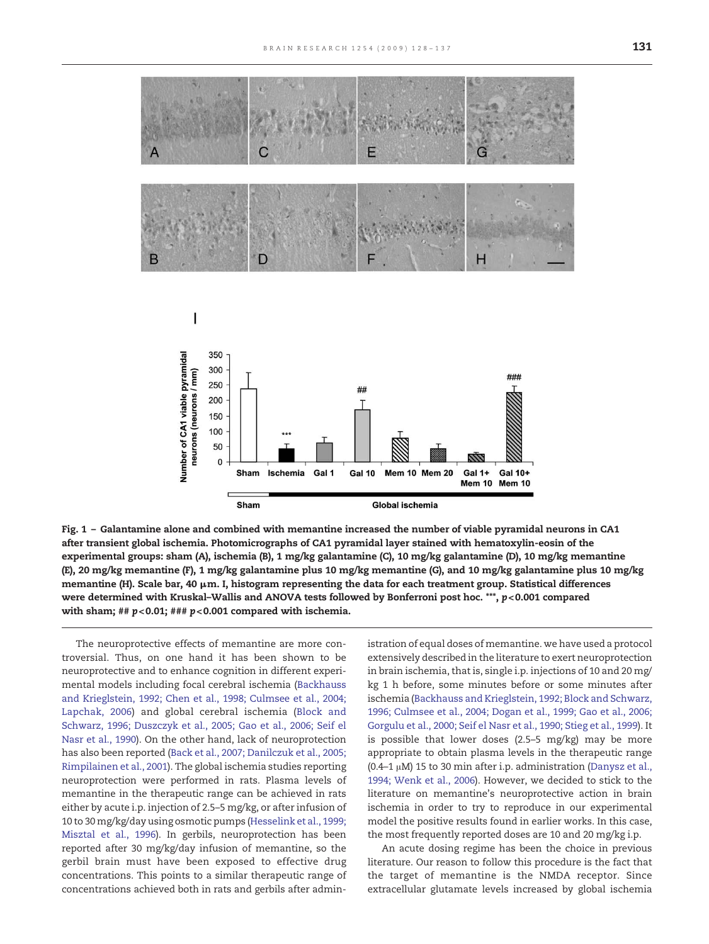<span id="page-3-0"></span>

Fig. 1 – Galantamine alone and combined with memantine increased the number of viable pyramidal neurons in CA1 after transient global ischemia. Photomicrographs of CA1 pyramidal layer stained with hematoxylin-eosin of the experimental groups: sham (A), ischemia (B), 1 mg/kg galantamine (C), 10 mg/kg galantamine (D), 10 mg/kg memantine (E), 20 mg/kg memantine (F), 1 mg/kg galantamine plus 10 mg/kg memantine (G), and 10 mg/kg galantamine plus 10 mg/kg memantine (H). Scale bar,  $40 \mu$ m. I, histogram representing the data for each treatment group. Statistical differences were determined with Kruskal-Wallis and ANOVA tests followed by Bonferroni post hoc. \*\*\*, p<0.001 compared with sham;  $\#$   $p$  < 0.01;  $\#$   $\#$   $p$  < 0.001 compared with ischemia.

The neuroprotective effects of memantine are more controversial. Thus, on one hand it has been shown to be neuroprotective and to enhance cognition in different experimental models including focal cerebral ischemia ([Backhauss](#page-7-0) [and Krieglstein, 1992; Chen et al., 1998; Culmsee et al., 2004;](#page-7-0) [Lapchak, 2006\)](#page-7-0) and global cerebral ischemia [\(Block and](#page-7-0) [Schwarz, 1996; Duszczyk et al., 2005; Gao et al., 2006; Seif el](#page-7-0) [Nasr et al., 1990](#page-7-0)). On the other hand, lack of neuroprotection has also been reported [\(Back et al., 2007; Danilczuk et al., 2005;](#page-7-0) [Rimpilainen et al., 2001\)](#page-7-0). The global ischemia studies reporting neuroprotection were performed in rats. Plasma levels of memantine in the therapeutic range can be achieved in rats either by acute i.p. injection of 2.5–5 mg/kg, or after infusion of 10 to 30 mg/kg/day using osmotic pumps [\(Hesselink et al., 1999;](#page-8-0) [Misztal et al., 1996\)](#page-8-0). In gerbils, neuroprotection has been reported after 30 mg/kg/day infusion of memantine, so the gerbil brain must have been exposed to effective drug concentrations. This points to a similar therapeutic range of concentrations achieved both in rats and gerbils after administration of equal doses of memantine. we have used a protocol extensively described in the literature to exert neuroprotection in brain ischemia, that is, single i.p. injections of 10 and 20 mg/ kg 1 h before, some minutes before or some minutes after ischemia [\(Backhauss and Krieglstein, 1992; Block and Schwarz,](#page-7-0) [1996; Culmsee et al., 2004; Dogan et al., 1999; Gao et al., 2006;](#page-7-0) [Gorgulu et al., 2000; Seif el Nasr et al., 1990; Stieg et al., 1999\)](#page-7-0). It is possible that lower doses (2.5–5 mg/kg) may be more appropriate to obtain plasma levels in the therapeutic range (0.4–1 μM) 15 to 30 min after i.p. administration [\(Danysz et al.,](#page-8-0) [1994; Wenk et al., 2006](#page-8-0)). However, we decided to stick to the literature on memantine's neuroprotective action in brain ischemia in order to try to reproduce in our experimental model the positive results found in earlier works. In this case, the most frequently reported doses are 10 and 20 mg/kg i.p.

An acute dosing regime has been the choice in previous literature. Our reason to follow this procedure is the fact that the target of memantine is the NMDA receptor. Since extracellular glutamate levels increased by global ischemia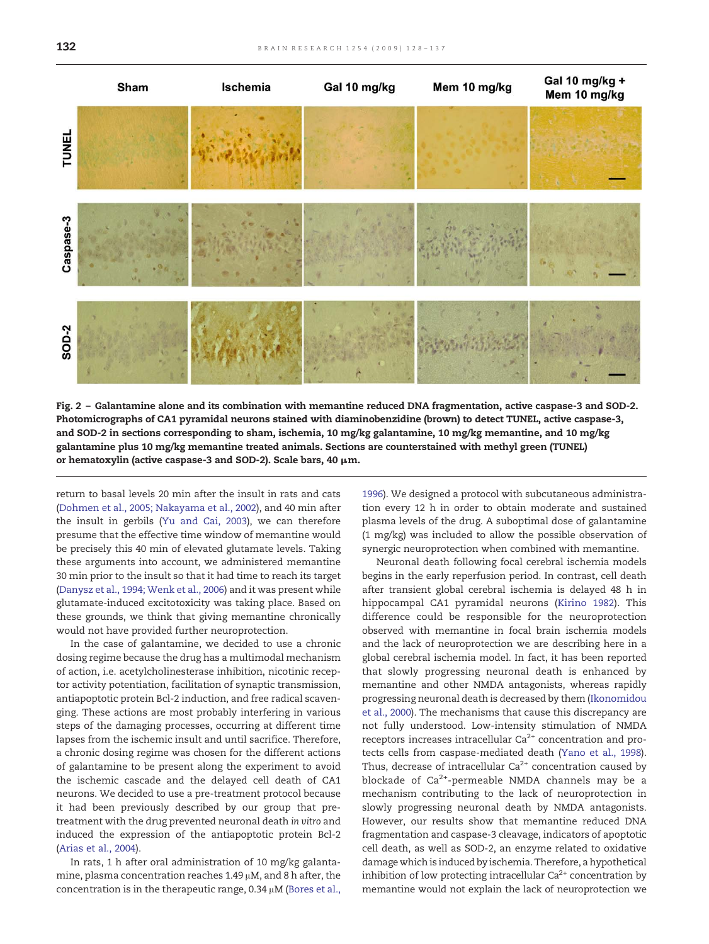<span id="page-4-0"></span>

Fig. 2 – Galantamine alone and its combination with memantine reduced DNA fragmentation, active caspase-3 and SOD-2. Photomicrographs of CA1 pyramidal neurons stained with diaminobenzidine (brown) to detect TUNEL, active caspase-3, and SOD-2 in sections corresponding to sham, ischemia, 10 mg/kg galantamine, 10 mg/kg memantine, and 10 mg/kg galantamine plus 10 mg/kg memantine treated animals. Sections are counterstained with methyl green (TUNEL) or hematoxylin (active caspase-3 and SOD-2). Scale bars, 40 μm.

return to basal levels 20 min after the insult in rats and cats ([Dohmen et al., 2005; Nakayama et al., 2002](#page-8-0)), and 40 min after the insult in gerbils [\(Yu and Cai, 2003](#page-9-0)), we can therefore presume that the effective time window of memantine would be precisely this 40 min of elevated glutamate levels. Taking these arguments into account, we administered memantine 30 min prior to the insult so that it had time to reach its target ([Danysz et al., 1994; Wenk et al., 2006](#page-8-0)) and it was present while glutamate-induced excitotoxicity was taking place. Based on these grounds, we think that giving memantine chronically would not have provided further neuroprotection.

In the case of galantamine, we decided to use a chronic dosing regime because the drug has a multimodal mechanism of action, i.e. acetylcholinesterase inhibition, nicotinic receptor activity potentiation, facilitation of synaptic transmission, antiapoptotic protein Bcl-2 induction, and free radical scavenging. These actions are most probably interfering in various steps of the damaging processes, occurring at different time lapses from the ischemic insult and until sacrifice. Therefore, a chronic dosing regime was chosen for the different actions of galantamine to be present along the experiment to avoid the ischemic cascade and the delayed cell death of CA1 neurons. We decided to use a pre-treatment protocol because it had been previously described by our group that pretreatment with the drug prevented neuronal death in vitro and induced the expression of the antiapoptotic protein Bcl-2 ([Arias et al., 2004\)](#page-7-0).

In rats, 1 h after oral administration of 10 mg/kg galantamine, plasma concentration reaches 1.49 μM, and 8 h after, the concentration is in the therapeutic range, 0.34 μM [\(Bores et al.,](#page-7-0) [1996\)](#page-7-0). We designed a protocol with subcutaneous administration every 12 h in order to obtain moderate and sustained plasma levels of the drug. A suboptimal dose of galantamine (1 mg/kg) was included to allow the possible observation of synergic neuroprotection when combined with memantine.

Neuronal death following focal cerebral ischemia models begins in the early reperfusion period. In contrast, cell death after transient global cerebral ischemia is delayed 48 h in hippocampal CA1 pyramidal neurons ([Kirino 1982](#page-8-0)). This difference could be responsible for the neuroprotection observed with memantine in focal brain ischemia models and the lack of neuroprotection we are describing here in a global cerebral ischemia model. In fact, it has been reported that slowly progressing neuronal death is enhanced by memantine and other NMDA antagonists, whereas rapidly progressing neuronal death is decreased by them [\(Ikonomidou](#page-8-0) [et al., 2000](#page-8-0)). The mechanisms that cause this discrepancy are not fully understood. Low-intensity stimulation of NMDA receptors increases intracellular  $Ca^{2+}$  concentration and protects cells from caspase-mediated death ([Yano et al., 1998\)](#page-9-0). Thus, decrease of intracellular  $Ca^{2+}$  concentration caused by blockade of  $Ca<sup>2+</sup>$ -permeable NMDA channels may be a mechanism contributing to the lack of neuroprotection in slowly progressing neuronal death by NMDA antagonists. However, our results show that memantine reduced DNA fragmentation and caspase-3 cleavage, indicators of apoptotic cell death, as well as SOD-2, an enzyme related to oxidative damage which is induced by ischemia. Therefore, a hypothetical inhibition of low protecting intracellular  $Ca^{2+}$  concentration by memantine would not explain the lack of neuroprotection we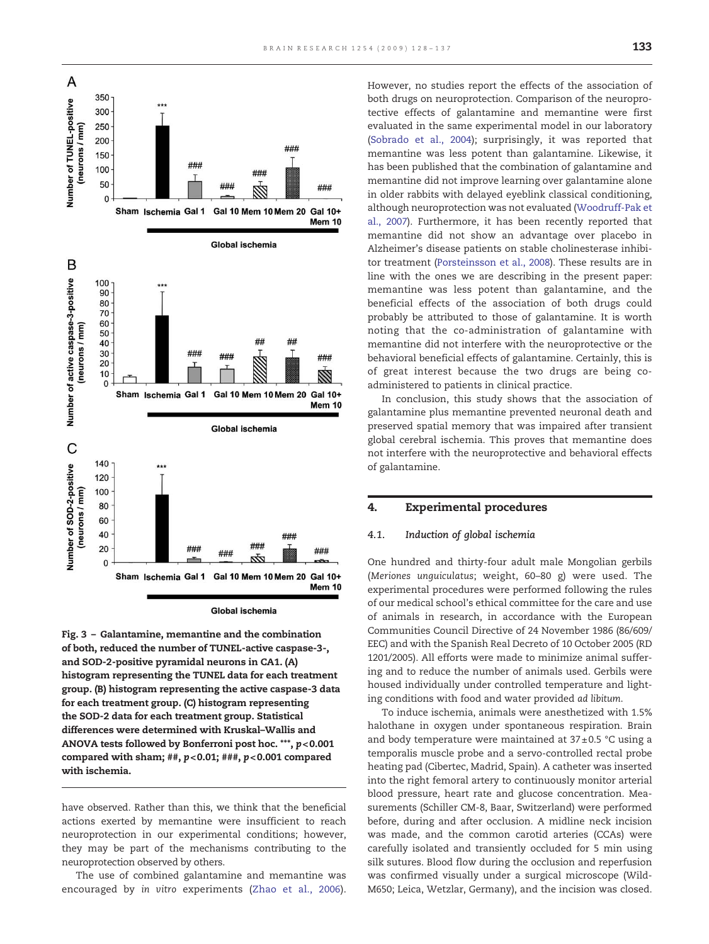<span id="page-5-0"></span>

**Global ischemia** 

Fig. 3 – Galantamine, memantine and the combination of both, reduced the number of TUNEL-active caspase-3-, and SOD-2-positive pyramidal neurons in CA1. (A) histogram representing the TUNEL data for each treatment group. (B) histogram representing the active caspase-3 data for each treatment group. (C) histogram representing the SOD-2 data for each treatment group. Statistical differences were determined with Kruskal–Wallis and ANOVA tests followed by Bonferroni post hoc. \*\*\*, p< 0.001 compared with sham; ##,  $p$ <0.01; ###,  $p$ <0.001 compared with ischemia.

have observed. Rather than this, we think that the beneficial actions exerted by memantine were insufficient to reach neuroprotection in our experimental conditions; however, they may be part of the mechanisms contributing to the neuroprotection observed by others.

The use of combined galantamine and memantine was encouraged by in vitro experiments ([Zhao et al., 2006](#page-9-0)). However, no studies report the effects of the association of both drugs on neuroprotection. Comparison of the neuroprotective effects of galantamine and memantine were first evaluated in the same experimental model in our laboratory [\(Sobrado et al., 2004](#page-8-0)); surprisingly, it was reported that memantine was less potent than galantamine. Likewise, it has been published that the combination of galantamine and memantine did not improve learning over galantamine alone in older rabbits with delayed eyeblink classical conditioning, although neuroprotection was not evaluated ([Woodruff-Pak et](#page-9-0) [al., 2007](#page-9-0)). Furthermore, it has been recently reported that memantine did not show an advantage over placebo in Alzheimer's disease patients on stable cholinesterase inhibitor treatment [\(Porsteinsson et al., 2008](#page-8-0)). These results are in line with the ones we are describing in the present paper: memantine was less potent than galantamine, and the beneficial effects of the association of both drugs could probably be attributed to those of galantamine. It is worth noting that the co-administration of galantamine with memantine did not interfere with the neuroprotective or the behavioral beneficial effects of galantamine. Certainly, this is of great interest because the two drugs are being coadministered to patients in clinical practice.

In conclusion, this study shows that the association of galantamine plus memantine prevented neuronal death and preserved spatial memory that was impaired after transient global cerebral ischemia. This proves that memantine does not interfere with the neuroprotective and behavioral effects of galantamine.

#### 4. Experimental procedures

#### 4.1. Induction of global ischemia

One hundred and thirty-four adult male Mongolian gerbils (Meriones unguiculatus; weight, 60–80 g) were used. The experimental procedures were performed following the rules of our medical school's ethical committee for the care and use of animals in research, in accordance with the European Communities Council Directive of 24 November 1986 (86/609/ EEC) and with the Spanish Real Decreto of 10 October 2005 (RD 1201/2005). All efforts were made to minimize animal suffering and to reduce the number of animals used. Gerbils were housed individually under controlled temperature and lighting conditions with food and water provided ad libitum.

To induce ischemia, animals were anesthetized with 1.5% halothane in oxygen under spontaneous respiration. Brain and body temperature were maintained at  $37 \pm 0.5$  °C using a temporalis muscle probe and a servo-controlled rectal probe heating pad (Cibertec, Madrid, Spain). A catheter was inserted into the right femoral artery to continuously monitor arterial blood pressure, heart rate and glucose concentration. Measurements (Schiller CM-8, Baar, Switzerland) were performed before, during and after occlusion. A midline neck incision was made, and the common carotid arteries (CCAs) were carefully isolated and transiently occluded for 5 min using silk sutures. Blood flow during the occlusion and reperfusion was confirmed visually under a surgical microscope (Wild-M650; Leica, Wetzlar, Germany), and the incision was closed.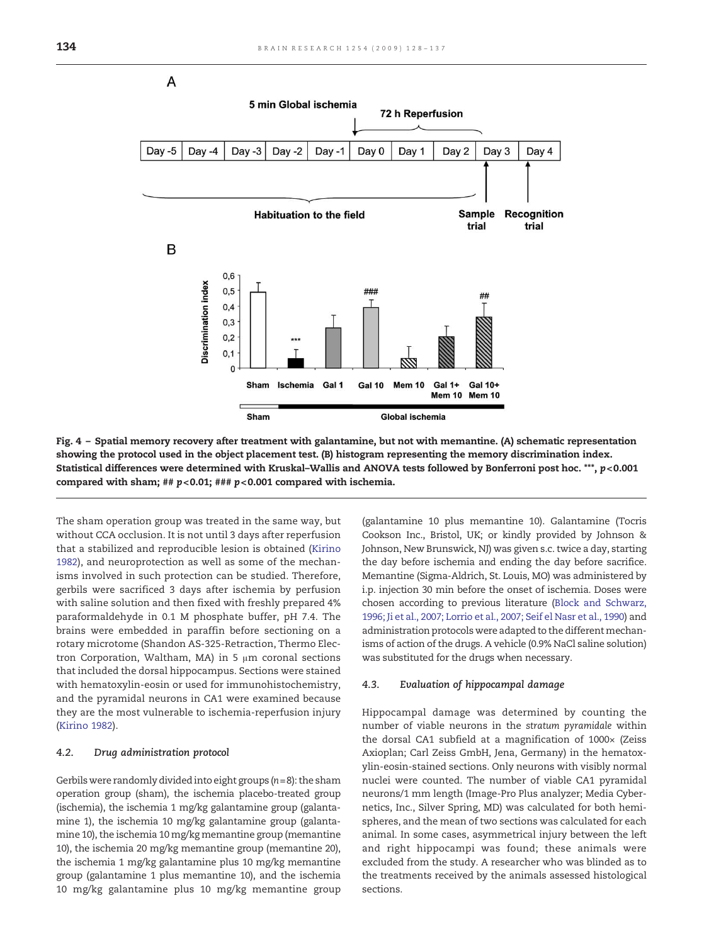<span id="page-6-0"></span>

Fig. 4 – Spatial memory recovery after treatment with galantamine, but not with memantine. (A) schematic representation showing the protocol used in the object placement test. (B) histogram representing the memory discrimination index. Statistical differences were determined with Kruskal-Wallis and ANOVA tests followed by Bonferroni post hoc. \*\*\*, p<0.001 compared with sham; ##  $p$  < 0.01; ###  $p$  < 0.001 compared with ischemia.

The sham operation group was treated in the same way, but without CCA occlusion. It is not until 3 days after reperfusion that a stabilized and reproducible lesion is obtained ([Kirino](#page-8-0) [1982](#page-8-0)), and neuroprotection as well as some of the mechanisms involved in such protection can be studied. Therefore, gerbils were sacrificed 3 days after ischemia by perfusion with saline solution and then fixed with freshly prepared 4% paraformaldehyde in 0.1 M phosphate buffer, pH 7.4. The brains were embedded in paraffin before sectioning on a rotary microtome (Shandon AS-325-Retraction, Thermo Electron Corporation, Waltham, MA) in 5  $\mu$ m coronal sections that included the dorsal hippocampus. Sections were stained with hematoxylin-eosin or used for immunohistochemistry, and the pyramidal neurons in CA1 were examined because they are the most vulnerable to ischemia-reperfusion injury ([Kirino 1982\)](#page-8-0).

#### 4.2. Drug administration protocol

Gerbils were randomly divided into eight groups ( $n = 8$ ): the sham operation group (sham), the ischemia placebo-treated group (ischemia), the ischemia 1 mg/kg galantamine group (galantamine 1), the ischemia 10 mg/kg galantamine group (galantamine 10), the ischemia 10 mg/kg memantine group (memantine 10), the ischemia 20 mg/kg memantine group (memantine 20), the ischemia 1 mg/kg galantamine plus 10 mg/kg memantine group (galantamine 1 plus memantine 10), and the ischemia 10 mg/kg galantamine plus 10 mg/kg memantine group (galantamine 10 plus memantine 10). Galantamine (Tocris Cookson Inc., Bristol, UK; or kindly provided by Johnson & Johnson, New Brunswick, NJ) was given s.c. twice a day, starting the day before ischemia and ending the day before sacrifice. Memantine (Sigma-Aldrich, St. Louis, MO) was administered by i.p. injection 30 min before the onset of ischemia. Doses were chosen according to previous literature [\(Block and Schwarz,](#page-7-0) [1996; Ji et al., 2007; Lorrio et al., 2007; Seif el Nasr et al., 1990\)](#page-7-0) and administration protocols were adapted to the different mechanisms of action of the drugs. A vehicle (0.9% NaCl saline solution) was substituted for the drugs when necessary.

#### 4.3. Evaluation of hippocampal damage

Hippocampal damage was determined by counting the number of viable neurons in the stratum pyramidale within the dorsal CA1 subfield at a magnification of 1000× (Zeiss Axioplan; Carl Zeiss GmbH, Jena, Germany) in the hematoxylin-eosin-stained sections. Only neurons with visibly normal nuclei were counted. The number of viable CA1 pyramidal neurons/1 mm length (Image-Pro Plus analyzer; Media Cybernetics, Inc., Silver Spring, MD) was calculated for both hemispheres, and the mean of two sections was calculated for each animal. In some cases, asymmetrical injury between the left and right hippocampi was found; these animals were excluded from the study. A researcher who was blinded as to the treatments received by the animals assessed histological sections.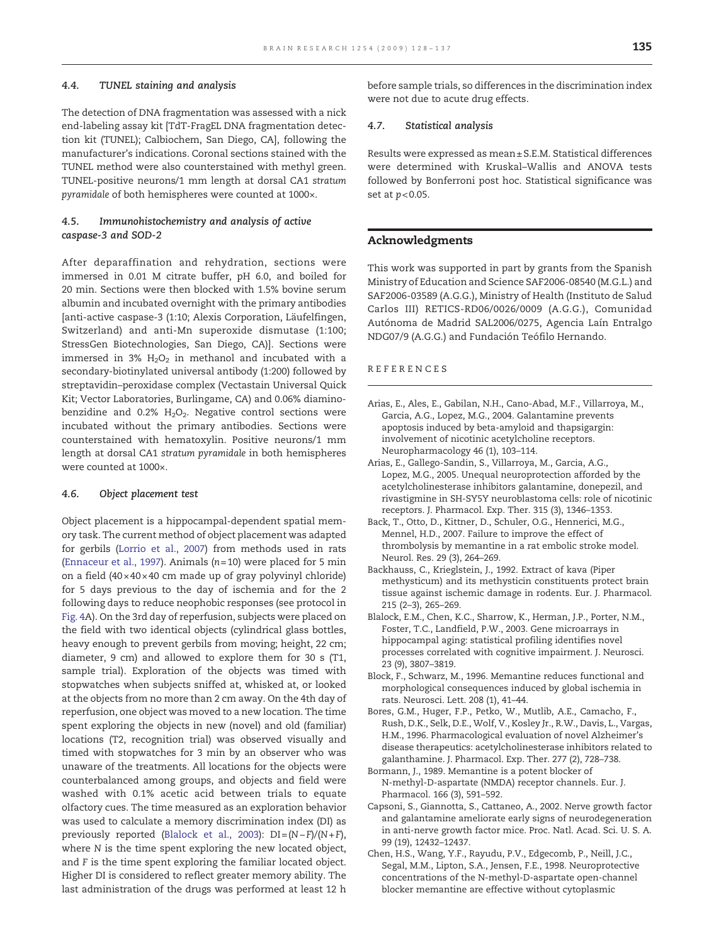### <span id="page-7-0"></span>4.4. TUNEL staining and analysis

The detection of DNA fragmentation was assessed with a nick end-labeling assay kit [TdT-FragEL DNA fragmentation detection kit (TUNEL); Calbiochem, San Diego, CA], following the manufacturer's indications. Coronal sections stained with the TUNEL method were also counterstained with methyl green. TUNEL-positive neurons/1 mm length at dorsal CA1 stratum pyramidale of both hemispheres were counted at 1000×.

# 4.5. Immunohistochemistry and analysis of active caspase-3 and SOD-2

After deparaffination and rehydration, sections were immersed in 0.01 M citrate buffer, pH 6.0, and boiled for 20 min. Sections were then blocked with 1.5% bovine serum albumin and incubated overnight with the primary antibodies [anti-active caspase-3 (1:10; Alexis Corporation, Läufelfingen, Switzerland) and anti-Mn superoxide dismutase (1:100; StressGen Biotechnologies, San Diego, CA)]. Sections were immersed in 3%  $H_2O_2$  in methanol and incubated with a secondary-biotinylated universal antibody (1:200) followed by streptavidin–peroxidase complex (Vectastain Universal Quick Kit; Vector Laboratories, Burlingame, CA) and 0.06% diaminobenzidine and 0.2%  $H_2O_2$ . Negative control sections were incubated without the primary antibodies. Sections were counterstained with hematoxylin. Positive neurons/1 mm length at dorsal CA1 stratum pyramidale in both hemispheres were counted at 1000×.

# 4.6. Object placement test

Object placement is a hippocampal-dependent spatial memory task. The current method of object placement was adapted for gerbils ([Lorrio et al., 2007](#page-8-0)) from methods used in rats [\(Ennaceur et al., 1997](#page-8-0)). Animals  $(n=10)$  were placed for 5 min on a field  $(40 \times 40 \times 40$  cm made up of gray polyvinyl chloride) for 5 days previous to the day of ischemia and for the 2 following days to reduce neophobic responses (see protocol in [Fig. 4](#page-6-0)A). On the 3rd day of reperfusion, subjects were placed on the field with two identical objects (cylindrical glass bottles, heavy enough to prevent gerbils from moving; height, 22 cm; diameter, 9 cm) and allowed to explore them for 30 s (T1, sample trial). Exploration of the objects was timed with stopwatches when subjects sniffed at, whisked at, or looked at the objects from no more than 2 cm away. On the 4th day of reperfusion, one object was moved to a new location. The time spent exploring the objects in new (novel) and old (familiar) locations (T2, recognition trial) was observed visually and timed with stopwatches for 3 min by an observer who was unaware of the treatments. All locations for the objects were counterbalanced among groups, and objects and field were washed with 0.1% acetic acid between trials to equate olfactory cues. The time measured as an exploration behavior was used to calculate a memory discrimination index (DI) as previously reported (Blalock et al., 2003): DI = (N−F)/(N+F), where N is the time spent exploring the new located object, and F is the time spent exploring the familiar located object. Higher DI is considered to reflect greater memory ability. The last administration of the drugs was performed at least 12 h

before sample trials, so differences in the discrimination index were not due to acute drug effects.

# 4.7. Statistical analysis

Results were expressed as mean± S.E.M. Statistical differences were determined with Kruskal–Wallis and ANOVA tests followed by Bonferroni post hoc. Statistical significance was set at  $p < 0.05$ .

# Acknowledgments

This work was supported in part by grants from the Spanish Ministry of Education and Science SAF2006-08540 (M.G.L.) and SAF2006-03589 (A.G.G.), Ministry of Health (Instituto de Salud Carlos III) RETICS-RD06/0026/0009 (A.G.G.), Comunidad Autónoma de Madrid SAL2006/0275, Agencia Laín Entralgo NDG07/9 (A.G.G.) and Fundación Teófilo Hernando.

#### REFERENCES

- Arias, E., Ales, E., Gabilan, N.H., Cano-Abad, M.F., Villarroya, M., Garcia, A.G., Lopez, M.G., 2004. Galantamine prevents apoptosis induced by beta-amyloid and thapsigargin: involvement of nicotinic acetylcholine receptors. Neuropharmacology 46 (1), 103–114.
- Arias, E., Gallego-Sandin, S., Villarroya, M., Garcia, A.G., Lopez, M.G., 2005. Unequal neuroprotection afforded by the acetylcholinesterase inhibitors galantamine, donepezil, and rivastigmine in SH-SY5Y neuroblastoma cells: role of nicotinic receptors. J. Pharmacol. Exp. Ther. 315 (3), 1346–1353.
- Back, T., Otto, D., Kittner, D., Schuler, O.G., Hennerici, M.G., Mennel, H.D., 2007. Failure to improve the effect of thrombolysis by memantine in a rat embolic stroke model. Neurol. Res. 29 (3), 264–269.
- Backhauss, C., Krieglstein, J., 1992. Extract of kava (Piper methysticum) and its methysticin constituents protect brain tissue against ischemic damage in rodents. Eur. J. Pharmacol. 215 (2–3), 265–269.
- Blalock, E.M., Chen, K.C., Sharrow, K., Herman, J.P., Porter, N.M., Foster, T.C., Landfield, P.W., 2003. Gene microarrays in hippocampal aging: statistical profiling identifies novel processes correlated with cognitive impairment. J. Neurosci. 23 (9), 3807–3819.
- Block, F., Schwarz, M., 1996. Memantine reduces functional and morphological consequences induced by global ischemia in rats. Neurosci. Lett. 208 (1), 41–44.
- Bores, G.M., Huger, F.P., Petko, W., Mutlib, A.E., Camacho, F., Rush, D.K., Selk, D.E., Wolf, V., Kosley Jr., R.W., Davis, L., Vargas, H.M., 1996. Pharmacological evaluation of novel Alzheimer's disease therapeutics: acetylcholinesterase inhibitors related to galanthamine. J. Pharmacol. Exp. Ther. 277 (2), 728–738.
- Bormann, J., 1989. Memantine is a potent blocker of N-methyl-D-aspartate (NMDA) receptor channels. Eur. J. Pharmacol. 166 (3), 591–592.
- Capsoni, S., Giannotta, S., Cattaneo, A., 2002. Nerve growth factor and galantamine ameliorate early signs of neurodegeneration in anti-nerve growth factor mice. Proc. Natl. Acad. Sci. U. S. A. 99 (19), 12432–12437.
- Chen, H.S., Wang, Y.F., Rayudu, P.V., Edgecomb, P., Neill, J.C., Segal, M.M., Lipton, S.A., Jensen, F.E., 1998. Neuroprotective concentrations of the N-methyl-D-aspartate open-channel blocker memantine are effective without cytoplasmic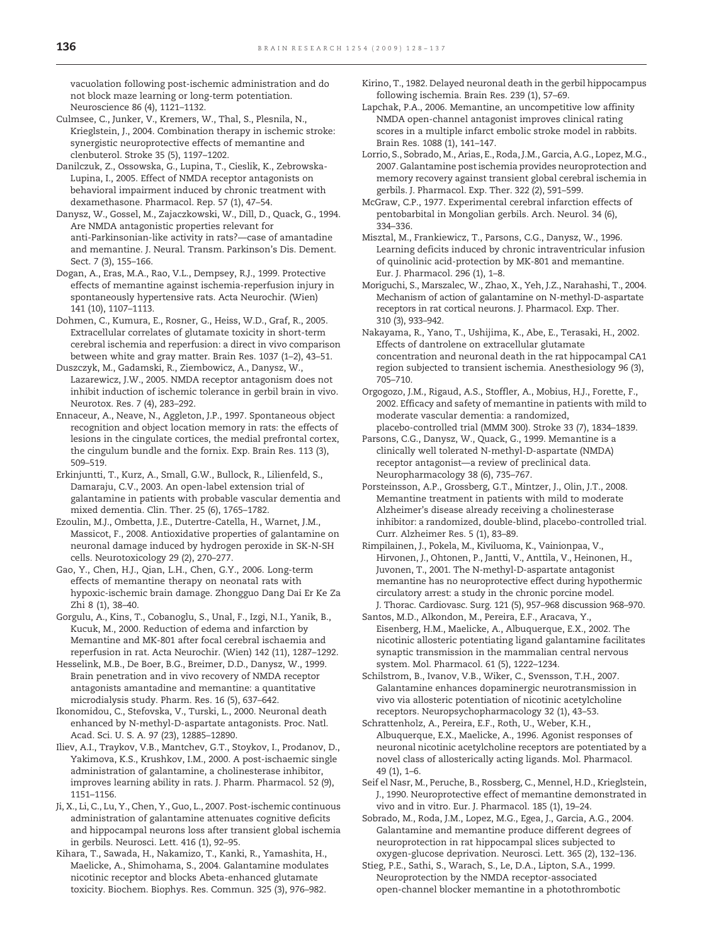<span id="page-8-0"></span>vacuolation following post-ischemic administration and do not block maze learning or long-term potentiation. Neuroscience 86 (4), 1121–1132.

- Culmsee, C., Junker, V., Kremers, W., Thal, S., Plesnila, N., Krieglstein, J., 2004. Combination therapy in ischemic stroke: synergistic neuroprotective effects of memantine and clenbuterol. Stroke 35 (5), 1197–1202.
- Danilczuk, Z., Ossowska, G., Lupina, T., Cieslik, K., Zebrowska-Lupina, I., 2005. Effect of NMDA receptor antagonists on behavioral impairment induced by chronic treatment with dexamethasone. Pharmacol. Rep. 57 (1), 47–54.
- Danysz, W., Gossel, M., Zajaczkowski, W., Dill, D., Quack, G., 1994. Are NMDA antagonistic properties relevant for anti-Parkinsonian-like activity in rats?—case of amantadine and memantine. J. Neural. Transm. Parkinson's Dis. Dement. Sect. 7 (3), 155–166.
- Dogan, A., Eras, M.A., Rao, V.L., Dempsey, R.J., 1999. Protective effects of memantine against ischemia-reperfusion injury in spontaneously hypertensive rats. Acta Neurochir. (Wien) 141 (10), 1107–1113.
- Dohmen, C., Kumura, E., Rosner, G., Heiss, W.D., Graf, R., 2005. Extracellular correlates of glutamate toxicity in short-term cerebral ischemia and reperfusion: a direct in vivo comparison between white and gray matter. Brain Res. 1037 (1–2), 43–51.
- Duszczyk, M., Gadamski, R., Ziembowicz, A., Danysz, W., Lazarewicz, J.W., 2005. NMDA receptor antagonism does not inhibit induction of ischemic tolerance in gerbil brain in vivo. Neurotox. Res. 7 (4), 283–292.
- Ennaceur, A., Neave, N., Aggleton, J.P., 1997. Spontaneous object recognition and object location memory in rats: the effects of lesions in the cingulate cortices, the medial prefrontal cortex, the cingulum bundle and the fornix. Exp. Brain Res. 113 (3), 509–519.
- Erkinjuntti, T., Kurz, A., Small, G.W., Bullock, R., Lilienfeld, S., Damaraju, C.V., 2003. An open-label extension trial of galantamine in patients with probable vascular dementia and mixed dementia. Clin. Ther. 25 (6), 1765–1782.
- Ezoulin, M.J., Ombetta, J.E., Dutertre-Catella, H., Warnet, J.M., Massicot, F., 2008. Antioxidative properties of galantamine on neuronal damage induced by hydrogen peroxide in SK-N-SH cells. Neurotoxicology 29 (2), 270–277.
- Gao, Y., Chen, H.J., Qian, L.H., Chen, G.Y., 2006. Long-term effects of memantine therapy on neonatal rats with hypoxic-ischemic brain damage. Zhongguo Dang Dai Er Ke Za Zhi 8 (1), 38–40.
- Gorgulu, A., Kins, T., Cobanoglu, S., Unal, F., Izgi, N.I., Yanik, B., Kucuk, M., 2000. Reduction of edema and infarction by Memantine and MK-801 after focal cerebral ischaemia and reperfusion in rat. Acta Neurochir. (Wien) 142 (11), 1287–1292.
- Hesselink, M.B., De Boer, B.G., Breimer, D.D., Danysz, W., 1999. Brain penetration and in vivo recovery of NMDA receptor antagonists amantadine and memantine: a quantitative microdialysis study. Pharm. Res. 16 (5), 637–642.
- Ikonomidou, C., Stefovska, V., Turski, L., 2000. Neuronal death enhanced by N-methyl-D-aspartate antagonists. Proc. Natl. Acad. Sci. U. S. A. 97 (23), 12885–12890.
- Iliev, A.I., Traykov, V.B., Mantchev, G.T., Stoykov, I., Prodanov, D., Yakimova, K.S., Krushkov, I.M., 2000. A post-ischaemic single administration of galantamine, a cholinesterase inhibitor, improves learning ability in rats. J. Pharm. Pharmacol. 52 (9), 1151–1156.
- Ji, X., Li, C., Lu, Y., Chen, Y., Guo, L., 2007. Post-ischemic continuous administration of galantamine attenuates cognitive deficits and hippocampal neurons loss after transient global ischemia in gerbils. Neurosci. Lett. 416 (1), 92–95.
- Kihara, T., Sawada, H., Nakamizo, T., Kanki, R., Yamashita, H., Maelicke, A., Shimohama, S., 2004. Galantamine modulates nicotinic receptor and blocks Abeta-enhanced glutamate toxicity. Biochem. Biophys. Res. Commun. 325 (3), 976–982.
- Kirino, T., 1982. Delayed neuronal death in the gerbil hippocampus following ischemia. Brain Res. 239 (1), 57–69.
- Lapchak, P.A., 2006. Memantine, an uncompetitive low affinity NMDA open-channel antagonist improves clinical rating scores in a multiple infarct embolic stroke model in rabbits. Brain Res. 1088 (1), 141–147.
- Lorrio, S., Sobrado, M., Arias, E., Roda, J.M., Garcia, A.G., Lopez, M.G., 2007. Galantamine post ischemia provides neuroprotection and memory recovery against transient global cerebral ischemia in gerbils. J. Pharmacol. Exp. Ther. 322 (2), 591–599.
- McGraw, C.P., 1977. Experimental cerebral infarction effects of pentobarbital in Mongolian gerbils. Arch. Neurol. 34 (6), 334–336.
- Misztal, M., Frankiewicz, T., Parsons, C.G., Danysz, W., 1996. Learning deficits induced by chronic intraventricular infusion of quinolinic acid-protection by MK-801 and memantine. Eur. J. Pharmacol. 296 (1), 1–8.
- Moriguchi, S., Marszalec, W., Zhao, X., Yeh, J.Z., Narahashi, T., 2004. Mechanism of action of galantamine on N-methyl-D-aspartate receptors in rat cortical neurons. J. Pharmacol. Exp. Ther. 310 (3), 933–942.
- Nakayama, R., Yano, T., Ushijima, K., Abe, E., Terasaki, H., 2002. Effects of dantrolene on extracellular glutamate concentration and neuronal death in the rat hippocampal CA1 region subjected to transient ischemia. Anesthesiology 96 (3), 705–710.
- Orgogozo, J.M., Rigaud, A.S., Stoffler, A., Mobius, H.J., Forette, F., 2002. Efficacy and safety of memantine in patients with mild to moderate vascular dementia: a randomized, placebo-controlled trial (MMM 300). Stroke 33 (7), 1834–1839.
- Parsons, C.G., Danysz, W., Quack, G., 1999. Memantine is a clinically well tolerated N-methyl-D-aspartate (NMDA) receptor antagonist—a review of preclinical data. Neuropharmacology 38 (6), 735–767.
- Porsteinsson, A.P., Grossberg, G.T., Mintzer, J., Olin, J.T., 2008. Memantine treatment in patients with mild to moderate Alzheimer's disease already receiving a cholinesterase inhibitor: a randomized, double-blind, placebo-controlled trial. Curr. Alzheimer Res. 5 (1), 83–89.
- Rimpilainen, J., Pokela, M., Kiviluoma, K., Vainionpaa, V., Hirvonen, J., Ohtonen, P., Jantti, V., Anttila, V., Heinonen, H., Juvonen, T., 2001. The N-methyl-D-aspartate antagonist memantine has no neuroprotective effect during hypothermic circulatory arrest: a study in the chronic porcine model. J. Thorac. Cardiovasc. Surg. 121 (5), 957–968 discussion 968–970.
- Santos, M.D., Alkondon, M., Pereira, E.F., Aracava, Y., Eisenberg, H.M., Maelicke, A., Albuquerque, E.X., 2002. The nicotinic allosteric potentiating ligand galantamine facilitates synaptic transmission in the mammalian central nervous system. Mol. Pharmacol. 61 (5), 1222–1234.
- Schilstrom, B., Ivanov, V.B., Wiker, C., Svensson, T.H., 2007. Galantamine enhances dopaminergic neurotransmission in vivo via allosteric potentiation of nicotinic acetylcholine receptors. Neuropsychopharmacology 32 (1), 43–53.
- Schrattenholz, A., Pereira, E.F., Roth, U., Weber, K.H., Albuquerque, E.X., Maelicke, A., 1996. Agonist responses of neuronal nicotinic acetylcholine receptors are potentiated by a novel class of allosterically acting ligands. Mol. Pharmacol. 49 (1), 1–6.
- Seif el Nasr, M., Peruche, B., Rossberg, C., Mennel, H.D., Krieglstein, J., 1990. Neuroprotective effect of memantine demonstrated in vivo and in vitro. Eur. J. Pharmacol. 185 (1), 19–24.
- Sobrado, M., Roda, J.M., Lopez, M.G., Egea, J., Garcia, A.G., 2004. Galantamine and memantine produce different degrees of neuroprotection in rat hippocampal slices subjected to oxygen-glucose deprivation. Neurosci. Lett. 365 (2), 132–136.
- Stieg, P.E., Sathi, S., Warach, S., Le, D.A., Lipton, S.A., 1999. Neuroprotection by the NMDA receptor-associated open-channel blocker memantine in a photothrombotic